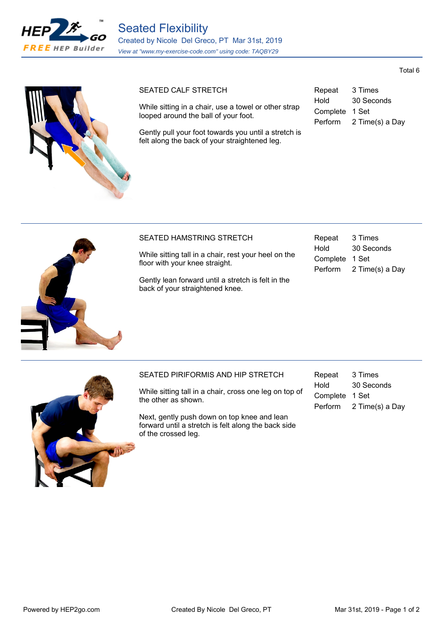





# SEATED CALF STRETCH

While sitting in a chair, use a towel or other strap looped around the ball of your foot.

Gently pull your foot towards you until a stretch is felt along the back of your straightened leg.

| Repeat         | 3 Times         |
|----------------|-----------------|
| Hold           | 30 Seconds      |
| Complete 1 Set |                 |
| <b>Perform</b> | 2 Time(s) a Day |



## SEATED HAMSTRING STRETCH

While sitting tall in a chair, rest your heel on the floor with your knee straight.

Gently lean forward until a stretch is felt in the back of your straightened knee.

| Repeat   | 3 Times         |
|----------|-----------------|
| Hold     | 30 Seconds      |
| Complete | 1 Set           |
| Perform  | 2 Time(s) a Day |



#### SEATED PIRIFORMIS AND HIP STRETCH

While sitting tall in a chair, cross one leg on top of the other as shown.

Next, gently push down on top knee and lean forward until a stretch is felt along the back side of the crossed leg.

| Repeat         | 3 Times         |
|----------------|-----------------|
| Hold           | 30 Seconds      |
| Complete 1 Set |                 |
| Perform        | 2 Time(s) a Day |